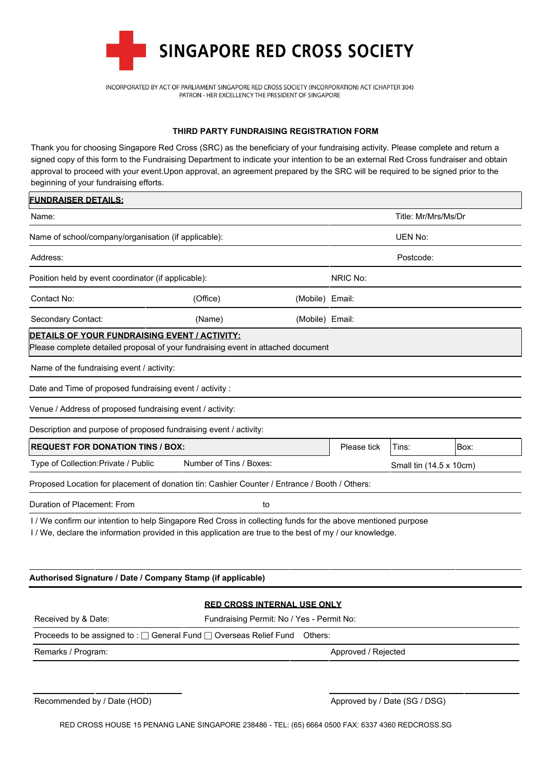

INCORPORATED BY ACT OF PARLIAMENT SINGAPORE RED CROSS SOCIETY (INCORPORATION) ACT (CHAPTER 304) PATRON - HER EXCELLENCY THE PRESIDENT OF SINGAPORE

## **THIRD PARTY FUNDRAISING REGISTRATION FORM**

Thank you for choosing Singapore Red Cross (SRC) as the beneficiary of your fundraising activity. Please complete and return a signed copy of this form to the Fundraising Department to indicate your intention to be an external Red Cross fundraiser and obtain approval to proceed with your event.Upon approval, an agreement prepared by the SRC will be required to be signed prior to the beginning of your fundraising efforts.

| <b>FUNDRAISER DETAILS:</b>                                                                                                                                                                                                                        |                         |                 |                     |                         |      |  |
|---------------------------------------------------------------------------------------------------------------------------------------------------------------------------------------------------------------------------------------------------|-------------------------|-----------------|---------------------|-------------------------|------|--|
| Name:                                                                                                                                                                                                                                             |                         |                 | Title: Mr/Mrs/Ms/Dr |                         |      |  |
| Name of school/company/organisation (if applicable):                                                                                                                                                                                              |                         |                 | <b>UEN No:</b>      |                         |      |  |
| Address:                                                                                                                                                                                                                                          |                         |                 | Postcode:           |                         |      |  |
| Position held by event coordinator (if applicable):                                                                                                                                                                                               |                         |                 | NRIC No:            |                         |      |  |
| Contact No:                                                                                                                                                                                                                                       | (Office)                | (Mobile) Email: |                     |                         |      |  |
| Secondary Contact:                                                                                                                                                                                                                                | (Name)                  | (Mobile) Email: |                     |                         |      |  |
| <b>DETAILS OF YOUR FUNDRAISING EVENT / ACTIVITY:</b><br>Please complete detailed proposal of your fundraising event in attached document<br>Name of the fundraising event / activity:<br>Date and Time of proposed fundraising event / activity : |                         |                 |                     |                         |      |  |
| Venue / Address of proposed fundraising event / activity:                                                                                                                                                                                         |                         |                 |                     |                         |      |  |
| Description and purpose of proposed fundraising event / activity:                                                                                                                                                                                 |                         |                 |                     |                         |      |  |
| <b>REQUEST FOR DONATION TINS / BOX:</b>                                                                                                                                                                                                           |                         |                 | Please tick         | Tins:                   | Box: |  |
| Type of Collection: Private / Public                                                                                                                                                                                                              | Number of Tins / Boxes: |                 |                     | Small tin (14.5 x 10cm) |      |  |
| Proposed Location for placement of donation tin: Cashier Counter / Entrance / Booth / Others:                                                                                                                                                     |                         |                 |                     |                         |      |  |
| Duration of Placement: From                                                                                                                                                                                                                       | to                      |                 |                     |                         |      |  |
| I / We confirm our intention to help Singapore Red Cross in collecting funds for the above mentioned purpose<br>I / We, declare the information provided in this application are true to the best of my / our knowledge.                          |                         |                 |                     |                         |      |  |

|  |  | Authorised Signature / Date / Company Stamp (if applicable) |
|--|--|-------------------------------------------------------------|
|--|--|-------------------------------------------------------------|

|                     | <b>RED CROSS INTERNAL USE ONLY</b>                                                   |  |  |  |  |
|---------------------|--------------------------------------------------------------------------------------|--|--|--|--|
| Received by & Date: | Fundraising Permit: No / Yes - Permit No:                                            |  |  |  |  |
|                     | Proceeds to be assigned to : $\Box$ General Fund $\Box$ Overseas Relief Fund Others: |  |  |  |  |
| Remarks / Program:  | Approved / Rejected                                                                  |  |  |  |  |
|                     |                                                                                      |  |  |  |  |

Recommended by / Date (HOD) Approved by / Date (SG / DSG)